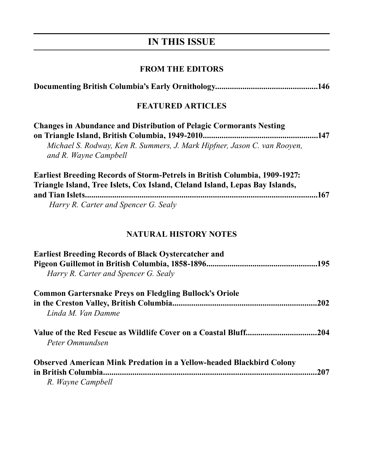# **IN THIS ISSUE**

## **FROM THE EDITORS**

|--|--|--|--|

## **FEATURED ARTICLES**

| <b>Changes in Abundance and Distribution of Pelagic Cormorants Nesting</b>        |     |
|-----------------------------------------------------------------------------------|-----|
|                                                                                   |     |
| Michael S. Rodway, Ken R. Summers, J. Mark Hipfner, Jason C. van Rooyen,          |     |
| and R. Wayne Campbell                                                             |     |
|                                                                                   |     |
| <b>Earliest Breeding Records of Storm-Petrels in British Columbia, 1909-1927:</b> |     |
| Triangle Island, Tree Islets, Cox Island, Cleland Island, Lepas Bay Islands,      |     |
|                                                                                   | 167 |
| Harry R. Carter and Spencer G. Sealy                                              |     |
|                                                                                   |     |

#### **NATURAL HISTORY NOTES**

| <b>Earliest Breeding Records of Black Oystercatcher and</b>                 |      |
|-----------------------------------------------------------------------------|------|
|                                                                             |      |
| Harry R. Carter and Spencer G. Sealy                                        |      |
| <b>Common Gartersnake Preys on Fledgling Bullock's Oriole</b>               |      |
|                                                                             | .202 |
| Linda M. Van Damme                                                          |      |
| Peter Ommundsen                                                             | .204 |
| <b>Observed American Mink Predation in a Yellow-headed Blackbird Colony</b> |      |
| in British Columbia.                                                        | 207  |
| R. Wayne Campbell                                                           |      |